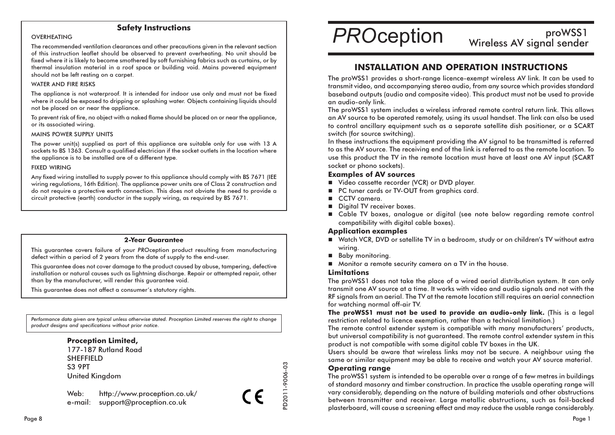## **Safety Instructions**

#### OVERHEATING

The recommended ventilation clearances and other precautions given in the relevant section of this instruction leaflet should be observed to prevent overheating. No unit should be fixed where it is likely to become smothered by soft furnishing fabrics such as curtains, or by thermal insulation material in a roof space or buildina void. Mains powered eauipment should not be left resting on a carpet.

#### **WATER AND FIRE RISKS**

The appliance is not waterproof. It is intended for indoor use only and must not be fixed where it could be exposed to dripping or splashing water. Objects containing liquids should not be placed on or near the appliance.

To prevent risk of fire, no object with a naked flame should be placed on or near the appliance, or its associated wiring.

#### **MAINS POWER SUPPLY UNITS**

The power unit(s) supplied as part of this appliance are suitable only for use with 13 A sockets to BS 1363. Consult a qualified electrician if the socket outlets in the location where the appliance is to be installed are of a different type.

#### **FIXED WIRING**

Any fixed wiring installed to supply power to this appliance should comply with BS 7671 (IEE wiring regulations. 16th Edition). The appliance power units are of Class 2 construction and do not require a protective earth connection. This does not obviate the need to provide a circuit protective (earth) conductor in the supply wiring, as required by BS 7671.

#### **2-Year Guarantee**

This guarantee covers failure of your PROception product resulting from manufacturing defect within a period of 2 years from the date of supply to the end-user.

This augrantee does not cover damage to the product caused by abuse, tampering, defective installation or natural causes such as lightning discharge. Repair or attempted repair, other than by the manufacturer, will render this guarantee void.

This augrantee does not affect a consumer's statutory rights.

Performance data aiven are typical unless otherwise stated. Proception Limited reserves the right to change product designs and specifications without prior notice.

## **Proception Limited,**

177-187 Rutland Road **SHEFFIELD S3 9PT United Kingdom** 

http://www.proception.co.uk/ Web: e-mail: support@proception.co.uk

**PROception** 

# proWSS1 **NUMBER**<br>Wireless AV signal sender

## **INSTALLATION AND OPERATION INSTRUCTIONS**

The proWSS1 provides a short-range licence-exempt wireless AV link. It can be used to transmit video, and accompanying stereo audio, from any source which provides standard baseband outputs (audio and composite video). This product must not be used to provide an audio-only link.

The proWSS1 system includes a wireless infrared remote control return link. This allows an AV source to be operated remotely, using its usual handset. The link can also be used to control ancillary equipment such as a separate satellite dish positioner, or a SCART switch (for source switching).

In these instructions the equipment providing the AV signal to be transmitted is referred to as the AV source. The receiving end of the link is referred to as the remote location. To use this product the TV in the remote location must have at least one AV input (SCART socket or phono sockets).

### **Examples of AV sources**

- Video cassette recorder (VCR) or DVD player.
- PC tuner cards or TV-OUT from graphics card.
- $\blacksquare$  CCTV camera.
- Digital TV receiver boxes.
- Cable TV boxes, analogue or digital (see note below regarding remote control compatibility with digital cable boxes).

#### **Application examples**

- Watch VCR, DVD or satellite TV in a bedroom, study or on children's TV without extra wirina.
- **Baby monitoring.**
- Monitor a remote security camera on a TV in the house.

#### **Limitations**

The proWSS1 does not take the place of a wired aerial distribution system. It can only transmit one AV source at a time. It works with video and audio sianals and not with the RF signals from an aerial. The TV at the remote location still requires an aerial connection for watching normal off-air TV.

The proWSS1 must not be used to provide an audio-only link. (This is a legal restriction related to licence exemption, rather than a technical limitation.)

The remote control extender system is compatible with many manufacturers' products, but universal compatibility is not guaranteed. The remote control extender system in this product is not compatible with some digital cable TV boxes in the UK.

Users should be aware that wireless links may not be secure. A neighbour using the same or similar equipment may be able to receive and watch your AV source material.

## **Operating range**

D2011-9006-03

CE

The proWSS1 system is intended to be operable over a range of a few metres in buildings of standard masonry and timber construction. In practice the usable operating range will vary considerably, depending on the nature of building materials and other obstructions between transmitter and receiver. Large metallic obstructions, such as foil-backed plasterboard, will cause a screening effect and may reduce the usable range considerably.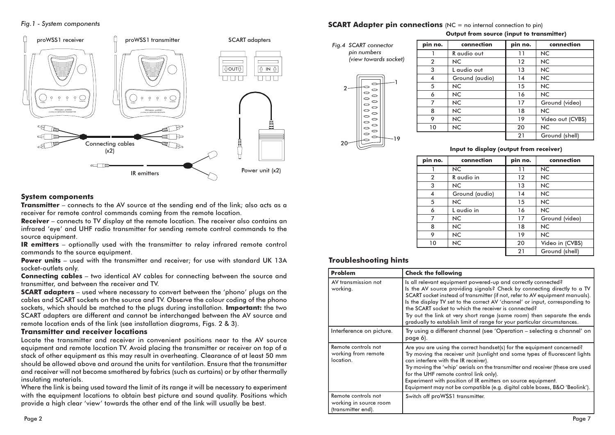#### Fig. 1 - System components



## **SCART Adapter pin connections** (NC = no internal connection to pin)

#### Output from source (input to transmitter)



| pin no.        | connection     | pin no. | connection       |
|----------------|----------------|---------|------------------|
|                | R audio out    | 11      | <b>NC</b>        |
| $\overline{2}$ | NC.            | 12      | <b>NC</b>        |
| 3              | L audio out    | 13      | <b>NC</b>        |
| 4              | Ground (audio) | 14      | <b>NC</b>        |
| 5              | NC.            | 15      | <b>NC</b>        |
| 6              | NC.            | 16      | <b>NC</b>        |
|                | NC.            | 17      | Ground (video)   |
| 8              | NC.            | 18      | <b>NC</b>        |
| 9              | NC.            | 19      | Video out (CVBS) |
| 10             | NC.            | 20      | <b>NC</b>        |
|                |                | 21      | Ground (shell)   |

#### Input to display (output from receiver)

| pin no.        | connection     | pin no.           | connection      |
|----------------|----------------|-------------------|-----------------|
|                | <b>NC</b>      | 11                | <b>NC</b>       |
| $\overline{2}$ | R audio in     | $12 \overline{ }$ | <b>NC</b>       |
| 3              | <b>NC</b>      | 13                | <b>NC</b>       |
| 4              | Ground (audio) | 14                | <b>NC</b>       |
| 5              | NC.            | 15                | <b>NC</b>       |
| 6              | L audio in     | 16                | <b>NC</b>       |
| 7              | NC.            | 17                | Ground (video)  |
| 8              | NC.            | 18                | <b>NC</b>       |
| 9              | NC.            | 19                | <b>NC</b>       |
| 10             | <b>NC</b>      | 20                | Video in (CVBS) |
|                |                | 21                | Ground (shell)  |

## **Troubleshooting hints**

| Problem                                                             | <b>Check the following</b>                                                                                                                                                                                                                                                                                                                                                                                                                                                                                               |
|---------------------------------------------------------------------|--------------------------------------------------------------------------------------------------------------------------------------------------------------------------------------------------------------------------------------------------------------------------------------------------------------------------------------------------------------------------------------------------------------------------------------------------------------------------------------------------------------------------|
| AV transmission not<br>working.                                     | Is all relevant equipment powered-up and correctly connected?<br>Is the AV source providing signals? Check by connecting directly to a TV<br>SCART socket instead of transmitter (if not, refer to AV equipment manuals).<br>Is the display TV set to the correct AV 'channel' or input, corresponding to<br>the SCART socket to which the receiver is connected?<br>Try out the link at very short range (same room) then separate the ends<br>gradually to establish limit of range for your particular circumstances. |
| Interference on picture.                                            | Try using a different channel (see 'Operation – selecting a channel' on<br>page 6).                                                                                                                                                                                                                                                                                                                                                                                                                                      |
| Remote controls not<br>working from remote<br>location.             | Are you are using the correct handset(s) for the equipment concerned?<br>Try moving the receiver unit (sunlight and some types of fluorescent lights<br>can interfere with the IR receiver).<br>Try moving the 'whip' aerials on the transmitter and receiver (these are used<br>for the UHF remote control link only).<br>Experiment with position of IR emitters on source equipment.<br>Equipment may not be compatible (e.g. digital cable boxes, B&O 'Beolink').                                                    |
| Remote controls not<br>working in source room<br>(transmitter end). | Switch off proWSS1 transmitter.                                                                                                                                                                                                                                                                                                                                                                                                                                                                                          |

### **System components**

**Transmitter** – connects to the AV source at the sending end of the link; also acts as a receiver for remote control commands coming from the remote location.

**Receiver** – connects to TV display at the remote location. The receiver also contains an infrared 'eye' and UHF radio transmitter for sending remote control commands to the source equipment.

IR emitters - optionally used with the transmitter to relay infrared remote control commands to the source equipment.

**Power units** - used with the transmitter and receiver; for use with standard UK 13A socket-outlets only.

**Connecting cables** – two identical AV cables for connecting between the source and transmitter, and between the receiver and TV.

**SCART adapters** – used where necessary to convert between the 'phono' plugs on the cables and SCART sockets on the source and TV. Observe the colour coding of the phono sockets, which should be matched to the plugs during installation. Important: the two SCART adapters are different and cannot be interchanged between the AV source and remote location ends of the link (see installation diagrams, Figs. 2 & 3).

#### **Transmitter and receiver locations**

Locate the transmitter and receiver in convenient positions near to the AV source equipment and remote location TV. Avoid placing the transmitter or receiver on top of a stack of other equipment as this may result in overheating. Clearance of at least 50 mm should be allowed above and around the units for ventilation. Ensure that the transmitter and receiver will not become smothered by fabrics (such as curtains) or by other thermally insulating materials.

Where the link is being used toward the limit of its range it will be necessary to experiment with the equipment locations to obtain best picture and sound quality. Positions which provide a high clear 'view' towards the other end of the link will usually be best.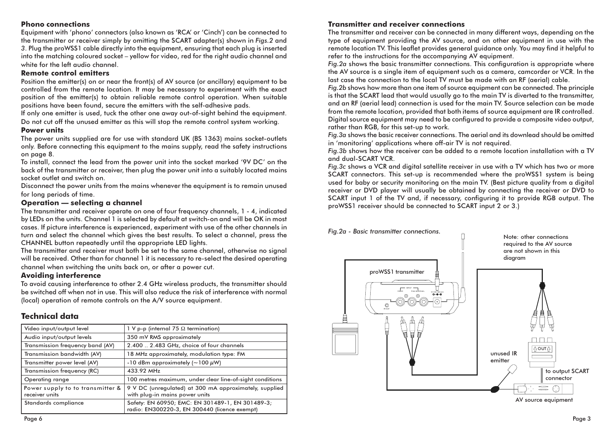## **Phono connections**

Equipment with 'phono' connectors (also known as 'RCA' or 'Cinch') can be connected to the transmitter or receiver simply by omitting the SCART adapter(s) shown in Figs.2 and 3. Plug the proWSS1 cable directly into the equipment, ensuring that each plug is inserted into the matching coloured socket – vellow for video, red for the right audio channel and white for the left audio channel.

## **Remote control emitters**

Position the emitter(s) on or near the front(s) of AV source (or ancillary) equipment to be controlled from the remote location. It may be necessary to experiment with the exact position of the emitter(s) to obtain reliable remote control operation. When suitable positions have been found, secure the emitters with the self-adhesive pads.

If only one emitter is used, tuck the other one away out-of-sight behind the equipment. Do not cut off the unused emitter as this will stop the remote control system working.

### **Power units**

The power units supplied are for use with standard UK (BS 1363) mains socket-outlets only. Before connecting this equipment to the mains supply, read the safety instructions on page 8.

To install, connect the lead from the power unit into the socket marked '9V DC' on the back of the transmitter or receiver, then plug the power unit into a suitably located mains socket outlet and switch on.

Disconnect the power units from the mains whenever the equipment is to remain unused for long periods of time.

## Operation - selecting a channel

The transmitter and receiver operate on one of four frequency channels, 1 - 4, indicated by LEDs on the units. Channel 1 is selected by default at switch-on and will be OK in most cases. If picture interference is experienced, experiment with use of the other channels in turn and select the channel which gives the best results. To select a channel, press the CHANNEL button repeatedly until the appropriate LED lights.

The transmitter and receiver must both be set to the same channel, otherwise no signal will be received. Other than for channel 1 it is necessary to re-select the desired operating channel when switching the units back on, or after a power cut.

## **Avoiding interference**

To avoid causing interference to other 2.4 GHz wireless products, the transmitter should be switched off when not in use. This will also reduce the risk of interference with normal (local) operation of remote controls on the A/V source equipment.

## **Technical data**

| Video input/output level                           | 1 V p-p (internal 75 $\Omega$ termination)                                                        |  |
|----------------------------------------------------|---------------------------------------------------------------------------------------------------|--|
| Audio input/output levels                          | 350 mV RMS approximately                                                                          |  |
| Transmission frequency band (AV)                   | 2.400  2.483 GHz, choice of four channels                                                         |  |
| Transmission bandwidth (AV)                        | 18 MHz approximately, modulation type: FM                                                         |  |
| Transmitter power level (AV)                       | -10 dBm approximately ( $\sim$ 100 $\mu$ W)                                                       |  |
| Transmission frequency (RC)                        | 433.92 MHz                                                                                        |  |
| Operating range                                    | 100 metres maximum, under clear line-of-sight conditions                                          |  |
| Power supply to to transmitter &<br>receiver units | 9 V DC (unregulated) at 300 mA approximately, supplied<br>with plug-in mains power units          |  |
| Standards compliance                               | Safety: EN 60950; EMC: EN 301489-1, EN 301489-3;<br>radio: EN300220-3, EN 300440 (licence exempt) |  |

## **Transmitter and receiver connections**

The transmitter and receiver can be connected in many different ways, depending on the type of equipment providing the AV source, and on other equipment in use with the remote location TV. This leaflet provides aeneral auidance only. You may find it helpful to refer to the instructions for the accompanying AV equipment.

Fig. 2a shows the basic transmitter connections. This configuration is appropriate where the AV source is a single item of equipment such as a camera, camcorder or VCR. In the last case the connection to the local TV must be made with an RF (aerial) cable.

Fig. 2b shows how more than one item of source equipment can be connected. The principle is that the SCART lead that would usually go to the main TV is diverted to the transmitter, and an RF (gerial lead) connection is used for the main TV. Source selection can be made from the remote location, provided that both items of source equipment are IR controlled. Digital source equipment may need to be configured to provide a composite video output, rather than RGB, for this set-up to work.

Fig. 3a shows the basic receiver connections. The aerial and its downlead should be omitted in 'monitoring' applications where off-air TV is not required.

Fig.3b shows how the receiver can be added to a remote location installation with a TV and dual-SCART VCR.

Fig. 3c shows a VCR and digital satellite receiver in use with a TV which has two or more SCART connectors. This set-up is recommended where the proWSS1 system is being used for baby or security monitoring on the main TV. (Best picture quality from a digital receiver or DVD player will usually be obtained by connecting the receiver or DVD to SCART input 1 of the TV and, if necessary, configuring it to provide RGB output. The proWSS1 receiver should be connected to SCART input 2 or 3.)